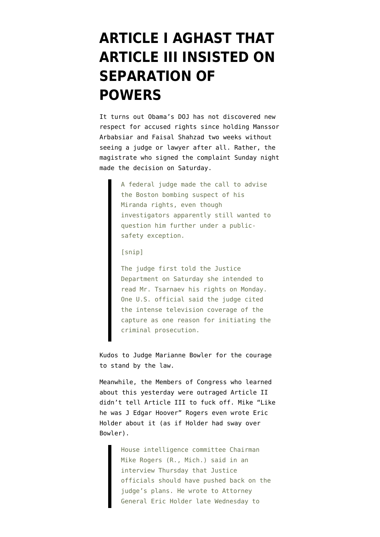## **[ARTICLE I AGHAST THAT](https://www.emptywheel.net/2013/04/25/article-i-aghast-that-article-iii-insisted-on-separation-of-powers/) [ARTICLE III INSISTED ON](https://www.emptywheel.net/2013/04/25/article-i-aghast-that-article-iii-insisted-on-separation-of-powers/) [SEPARATION OF](https://www.emptywheel.net/2013/04/25/article-i-aghast-that-article-iii-insisted-on-separation-of-powers/) [POWERS](https://www.emptywheel.net/2013/04/25/article-i-aghast-that-article-iii-insisted-on-separation-of-powers/)**

It turns out Obama's DOJ has not discovered new respect for accused rights since [holding Manssor](http://www.emptywheel.net/2013/04/20/dzhokhar-tsaraev-the-big-issue-is-not-miranda-its-presentment/) [Arbabsiar and Faisal Shahzad two weeks](http://www.emptywheel.net/2013/04/20/dzhokhar-tsaraev-the-big-issue-is-not-miranda-its-presentment/) without seeing a judge or lawyer after all. Rather, the magistrate who signed the complaint Sunday night [made the decision](http://online.wsj.com/article/SB10001424127887323789704578444940173125374.html?mod=rss_US_News) on Saturday.

> A federal judge made the call to advise the Boston bombing suspect of his Miranda rights, even though investigators apparently still wanted to question him further under a publicsafety exception.

[snip]

The judge first told the Justice Department on Saturday she intended to read Mr. Tsarnaev his rights on Monday. One U.S. official said the judge cited the intense television coverage of the capture as one reason for initiating the criminal prosecution.

Kudos to Judge Marianne Bowler for the courage to stand by the law.

Meanwhile, the Members of Congress who learned about this yesterday were outraged Article II didn't tell Article III to fuck off. Mike "Like he was J Edgar Hoover" Rogers even wrote Eric Holder about it (as if Holder had sway over Bowler).

> House intelligence committee Chairman Mike Rogers (R., Mich.) said in an interview Thursday that Justice officials should have pushed back on the judge's plans. He wrote to Attorney General Eric Holder late Wednesday to